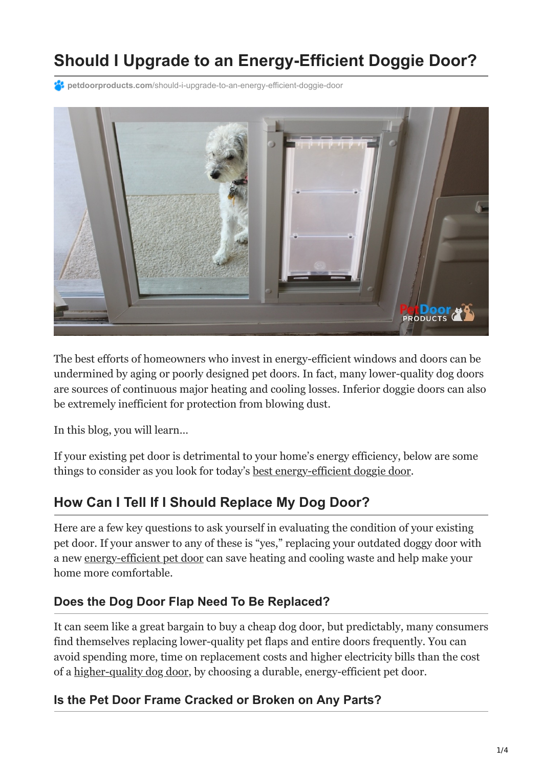# **Should I Upgrade to an Energy-Efficient Doggie Door?**

**PC** petdoorproducts.com[/should-i-upgrade-to-an-energy-efficient-doggie-door](https://petdoorproducts.com/should-i-upgrade-to-an-energy-efficient-doggie-door/)



The best efforts of homeowners who invest in energy-efficient windows and doors can be undermined by aging or poorly designed pet doors. In fact, many lower-quality dog doors are sources of continuous major heating and cooling losses. Inferior doggie doors can also be extremely inefficient for protection from blowing dust.

In this blog, you will learn…

If your existing pet door is detrimental to your home's energy efficiency, below are some things to consider as you look for today's [best energy-efficient doggie door.](https://petdoorproducts.com/secret-to-a-perfect-doggie-door/)

### **How Can I Tell If I Should Replace My Dog Door?**

Here are a few key questions to ask yourself in evaluating the condition of your existing pet door. If your answer to any of these is "yes," replacing your outdated doggy door with a new [energy-efficient pet door](https://petdoorproducts.com/product/) can save heating and cooling waste and help make your home more comfortable.

#### **Does the Dog Door Flap Need To Be Replaced?**

It can seem like a great bargain to buy a cheap dog door, but predictably, many consumers find themselves replacing lower-quality pet flaps and entire doors frequently. You can avoid spending more, time on replacement costs and higher electricity bills than the cost of a [higher-quality dog door,](https://petdoorproducts.com/10-doggie-door-shopping-tips/) by choosing a durable, energy-efficient pet door.

#### **Is the Pet Door Frame Cracked or Broken on Any Parts?**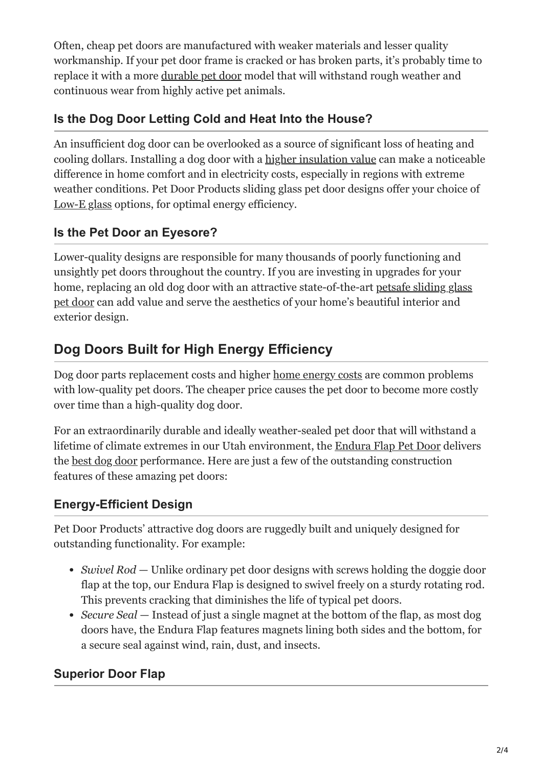Often, cheap pet doors are manufactured with weaker materials and lesser quality workmanship. If your pet door frame is cracked or has broken parts, it's probably time to replace it with a more [durable pet door](https://petdoorproducts.com/10-doggie-door-shopping-tips/) model that will withstand rough weather and continuous wear from highly active pet animals.

### **Is the Dog Door Letting Cold and Heat Into the House?**

An insufficient dog door can be overlooked as a source of significant loss of heating and cooling dollars. Installing a dog door with a [higher insulation value](https://petdoorproducts.com/secret-to-a-perfect-doggie-door/) can make a noticeable difference in home comfort and in electricity costs, especially in regions with extreme weather conditions. Pet Door Products sliding glass pet door designs offer your choice of [Low-E glass](https://petdoorproducts.com/glass-options/) options, for optimal energy efficiency.

### **Is the Pet Door an Eyesore?**

Lower-quality designs are responsible for many thousands of poorly functioning and unsightly pet doors throughout the country. If you are investing in upgrades for your [home, replacing an old dog door with an attractive state-of-the-art petsafe sliding glass](https://petdoorproducts.com/sliding-glass-pet-door-options/) pet door can add value and serve the aesthetics of your home's beautiful interior and exterior design.

# **Dog Doors Built for High Energy Efficiency**

Dog door parts replacement costs and higher [home energy costs](https://petdoorproducts.com/glass-options/) are common problems with low-quality pet doors. The cheaper price causes the pet door to become more costly over time than a high-quality dog door.

For an extraordinarily durable and ideally weather-sealed pet door that will withstand a lifetime of climate extremes in our Utah environment, the [Endura Flap Pet Door](https://petdoorproducts.com/product/endura-flap-for-pet-doors/) delivers the [best dog door](https://petdoorproducts.com/) performance. Here are just a few of the outstanding construction features of these amazing pet doors:

### **Energy-Efficient Design**

Pet Door Products' attractive dog doors are ruggedly built and uniquely designed for outstanding functionality. For example:

- *Swivel Rod* Unlike ordinary pet door designs with screws holding the doggie door flap at the top, our Endura Flap is designed to swivel freely on a sturdy rotating rod. This prevents cracking that diminishes the life of typical pet doors.
- *Secure Seal* Instead of just a single magnet at the bottom of the flap, as most dog doors have, the Endura Flap features magnets lining both sides and the bottom, for a secure seal against wind, rain, dust, and insects.

### **Superior Door Flap**